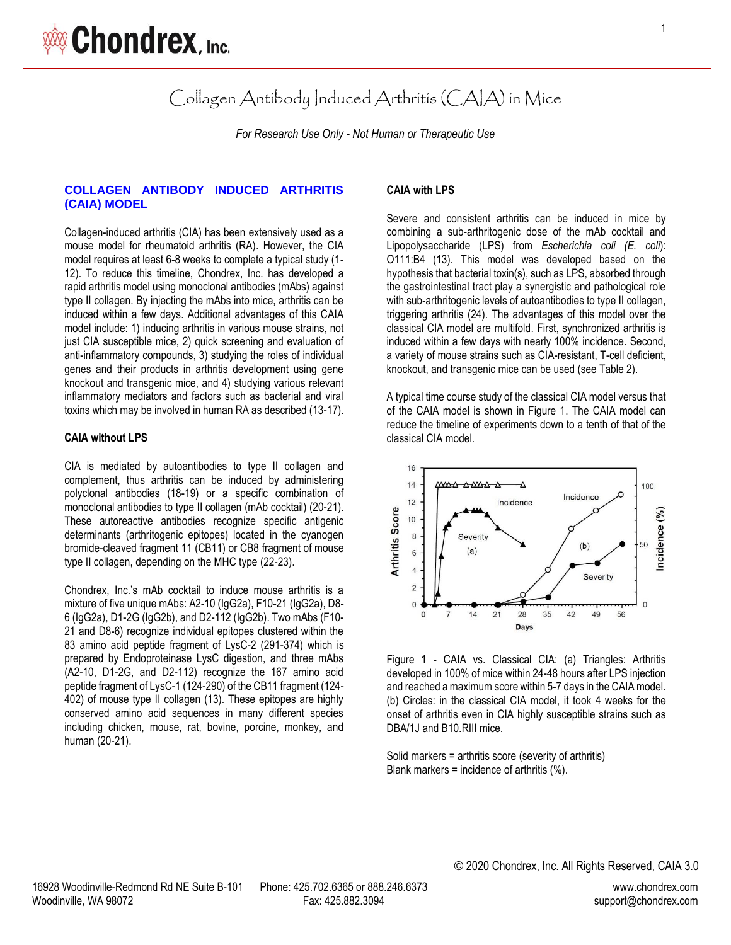Collagen Antibody Induced Arthritis (CAIA) in Mice

*For Research Use Only - Not Human or Therapeutic Use*

## **COLLAGEN ANTIBODY INDUCED ARTHRITIS (CAIA) MODEL**

Collagen-induced arthritis (CIA) has been extensively used as a mouse model for rheumatoid arthritis (RA). However, the CIA model requires at least 6-8 weeks to complete a typical study (1- 12). To reduce this timeline, Chondrex, Inc. has developed a rapid arthritis model using monoclonal antibodies (mAbs) against type II collagen. By injecting the mAbs into mice, arthritis can be induced within a few days. Additional advantages of this CAIA model include: 1) inducing arthritis in various mouse strains, not just CIA susceptible mice, 2) quick screening and evaluation of anti-inflammatory compounds, 3) studying the roles of individual genes and their products in arthritis development using gene knockout and transgenic mice, and 4) studying various relevant inflammatory mediators and factors such as bacterial and viral toxins which may be involved in human RA as described (13-17).

#### **CAIA without LPS**

CIA is mediated by autoantibodies to type II collagen and complement, thus arthritis can be induced by administering polyclonal antibodies (18-19) or a specific combination of monoclonal antibodies to type II collagen (mAb cocktail) (20-21). These autoreactive antibodies recognize specific antigenic determinants (arthritogenic epitopes) located in the cyanogen bromide-cleaved fragment 11 (CB11) or CB8 fragment of mouse type II collagen, depending on the MHC type (22-23).

Chondrex, Inc.'s mAb cocktail to induce mouse arthritis is a mixture of five unique mAbs: A2-10 (IgG2a), F10-21 (IgG2a), D8- 6 (IgG2a), D1-2G (IgG2b), and D2-112 (IgG2b). Two mAbs (F10- 21 and D8-6) recognize individual epitopes clustered within the 83 amino acid peptide fragment of LysC-2 (291-374) which is prepared by Endoproteinase LysC digestion, and three mAbs (A2-10, D1-2G, and D2-112) recognize the 167 amino acid peptide fragment of LysC-1 (124-290) of the CB11 fragment (124- 402) of mouse type II collagen (13). These epitopes are highly conserved amino acid sequences in many different species including chicken, mouse, rat, bovine, porcine, monkey, and human (20-21).

### **CAIA with LPS**

Severe and consistent arthritis can be induced in mice by combining a sub-arthritogenic dose of the mAb cocktail and Lipopolysaccharide (LPS) from *Escherichia coli (E. coli*): O111:B4 (13). This model was developed based on the hypothesis that bacterial toxin(s), such as LPS, absorbed through the gastrointestinal tract play a synergistic and pathological role with sub-arthritogenic levels of autoantibodies to type II collagen, triggering arthritis (24). The advantages of this model over the classical CIA model are multifold. First, synchronized arthritis is induced within a few days with nearly 100% incidence. Second, a variety of mouse strains such as CIA-resistant, T-cell deficient, knockout, and transgenic mice can be used (see Table 2).

A typical time course study of the classical CIA model versus that of the CAIA model is shown in Figure 1. The CAIA model can reduce the timeline of experiments down to a tenth of that of the classical CIA model.



Figure 1 - CAIA vs. Classical CIA: (a) Triangles: Arthritis developed in 100% of mice within 24-48 hours after LPS injection and reached a maximum score within 5-7 days in the CAIA model. (b) Circles: in the classical CIA model, it took 4 weeks for the onset of arthritis even in CIA highly susceptible strains such as DBA/1J and B10.RIII mice.

Solid markers = arthritis score (severity of arthritis) Blank markers = incidence of arthritis (%).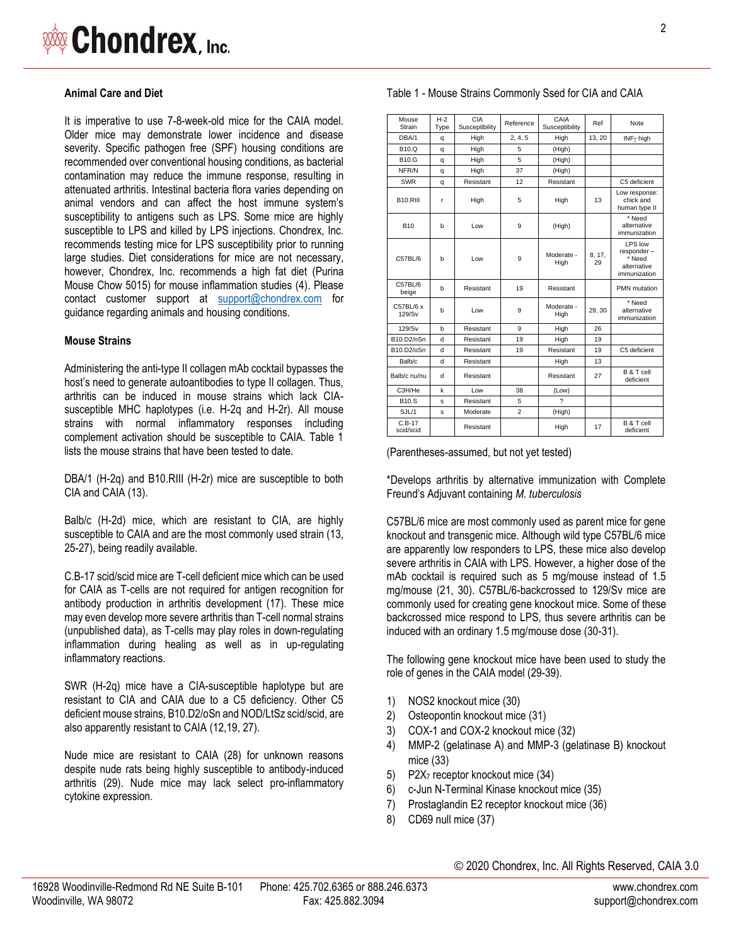

#### **Animal Care and Diet**

It is imperative to use 7-8-week-old mice for the CAIA model. Older mice may demonstrate lower incidence and disease severity. Specific pathogen free (SPF) housing conditions are recommended over conventional housing conditions, as bacterial contamination may reduce the immune response, resulting in attenuated arthritis. Intestinal bacteria flora varies depending on animal vendors and can affect the host immune system's susceptibility to antigens such as LPS. Some mice are highly susceptible to LPS and killed by LPS injections. Chondrex, Inc. recommends testing mice for LPS susceptibility prior to running large studies. Diet considerations for mice are not necessary, however, Chondrex, Inc. recommends a high fat diet (Purina Mouse Chow 5015) for mouse inflammation studies (4). Please contact customer support at [support@chondrex.com](mailto:support@chondrex.com) for guidance regarding animals and housing conditions.

#### **Mouse Strains**

Administering the anti-type II collagen mAb cocktail bypasses the host's need to generate autoantibodies to type II collagen. Thus, arthritis can be induced in mouse strains which lack CIAsusceptible MHC haplotypes (i.e. H-2q and H-2r). All mouse strains with normal inflammatory responses including complement activation should be susceptible to CAIA. Table 1 lists the mouse strains that have been tested to date.

DBA/1 (H-2q) and B10.RIII (H-2r) mice are susceptible to both CIA and CAIA (13).

Balb/c (H-2d) mice, which are resistant to CIA, are highly susceptible to CAIA and are the most commonly used strain (13, 25-27), being readily available.

C.B-17 scid/scid mice are T-cell deficient mice which can be used for CAIA as T-cells are not required for antigen recognition for antibody production in arthritis development (17). These mice may even develop more severe arthritis than T-cell normal strains (unpublished data), as T-cells may play roles in down-regulating inflammation during healing as well as in up-regulating inflammatory reactions.

SWR (H-2q) mice have a CIA-susceptible haplotype but are resistant to CIA and CAIA due to a C5 deficiency. Other C5 deficient mouse strains, B10.D2/oSn and NOD/LtSz scid/scid, are also apparently resistant to CAIA (12,19, 27).

Nude mice are resistant to CAIA (28) for unknown reasons despite nude rats being highly susceptible to antibody-induced arthritis (29). Nude mice may lack select pro-inflammatory cytokine expression.

Table 1 - Mouse Strains Commonly Ssed for CIA and CAIA

| Mouse<br>Strain       | $H-2$<br>Type | <b>CIA</b><br>Susceptibility | Reference      | CAIA<br>Susceptibility | Ref          | Note                                                           |
|-----------------------|---------------|------------------------------|----------------|------------------------|--------------|----------------------------------------------------------------|
| DBA/1                 | q             | High                         | 2, 4, 5        | High                   | 13, 20       | $INF\gamma$ high                                               |
| <b>B10.Q</b>          | q             | High                         | 5              | (High)                 |              |                                                                |
| <b>B10.G</b>          | q             | High                         | 5              | (High)                 |              |                                                                |
| NFR/N                 | q             | High                         | 37             | (High)                 |              |                                                                |
| <b>SWR</b>            | q             | Resistant                    | 12             | Resistant              |              | C5 deficient                                                   |
| <b>B10.RIII</b>       | r             | High                         | 5              | High                   | 13           | Low response:<br>chick and<br>human type II                    |
| <b>B10</b>            | b             | Low                          | 9              | (High)                 |              | * Need<br>alternative<br>immunization                          |
| C57BL/6               | h             | Low                          | 9              | Moderate -<br>High     | 8, 17,<br>29 | LPS low<br>responder-<br>* Need<br>alternative<br>immunization |
| C57BL/6<br>beige      | b             | Resistant                    | 19             | Resistant              |              | PMN mutation                                                   |
| C57BL/6 x<br>129/Sv   | h             | Low                          | 9              | Moderate -<br>High     | 29, 30       | * Need<br>alternative<br>immunization                          |
| 129/Sv                | b             | Resistant                    | 9              | High                   | 26           |                                                                |
| B10.D2/nSn            | d             | Resistant                    | 19             | High                   | 19           |                                                                |
| B10.D2/oSn            | d             | Resistant                    | 19             | Resistant              | 19           | C5 deficient                                                   |
| Balb/c                | d             | Resistant                    |                | High                   | 13           |                                                                |
| Balb/c nu/nu          | d             | Resistant                    |                | Resistant              | 27           | B & T cell<br>deficient                                        |
| C3H/He                | k             | Low                          | 38             | (Low)                  |              |                                                                |
| <b>B10.S</b>          | s             | Resistant                    | 5              | 2                      |              |                                                                |
| SJL/1                 | s             | Moderate                     | $\overline{a}$ | (High)                 |              |                                                                |
| $C.B-17$<br>scid/scid |               | Resistant                    |                | High                   | 17           | B & T cell<br>deficient                                        |

(Parentheses-assumed, but not yet tested)

\*Develops arthritis by alternative immunization with Complete Freund's Adjuvant containing *M. tuberculosis*

C57BL/6 mice are most commonly used as parent mice for gene knockout and transgenic mice. Although wild type C57BL/6 mice are apparently low responders to LPS, these mice also develop severe arthritis in CAIA with LPS. However, a higher dose of the mAb cocktail is required such as 5 mg/mouse instead of 1.5 mg/mouse (21, 30). C57BL/6-backcrossed to 129/Sv mice are commonly used for creating gene knockout mice. Some of these backcrossed mice respond to LPS, thus severe arthritis can be induced with an ordinary 1.5 mg/mouse dose (30-31).

The following gene knockout mice have been used to study the role of genes in the CAIA model (29-39).

- 1) NOS2 knockout mice (30)
- 2) Osteopontin knockout mice (31)
- 3) COX-1 and COX-2 knockout mice (32)
- 4) MMP-2 (gelatinase A) and MMP-3 (gelatinase B) knockout mice (33)
- 5) P2X<sup>7</sup> receptor knockout mice (34)
- 6) c-Jun N-Terminal Kinase knockout mice (35)
- 7) Prostaglandin E2 receptor knockout mice (36)
- 8) CD69 null mice (37)

© 2020 Chondrex, Inc. All Rights Reserved, CAIA 3.0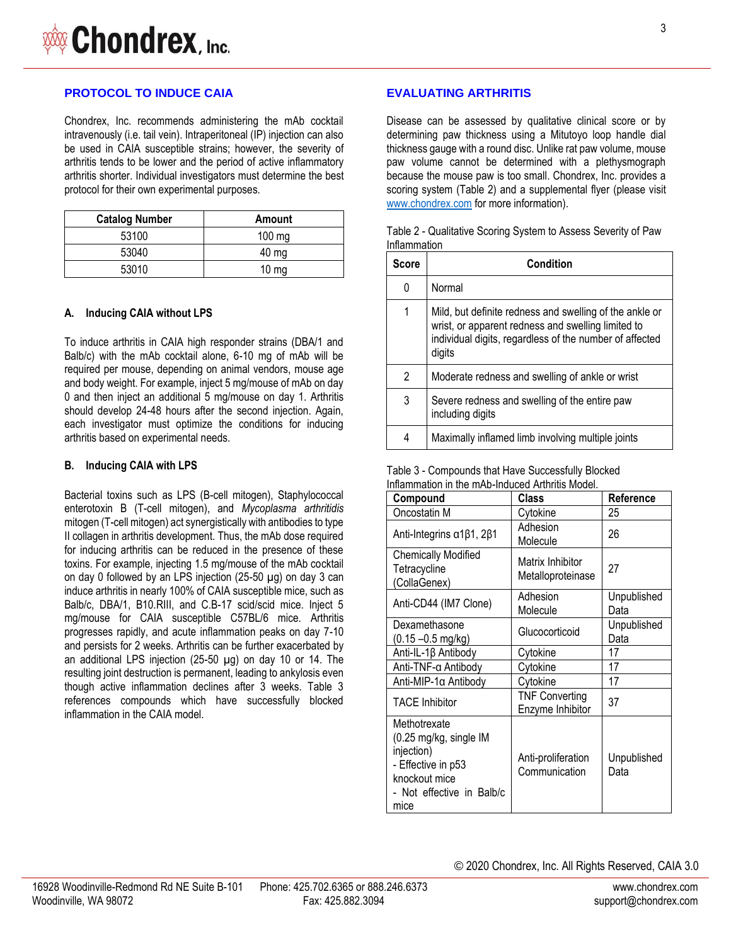Chondrex, Inc. recommends administering the mAb cocktail intravenously (i.e. tail vein). Intraperitoneal (IP) injection can also be used in CAIA susceptible strains; however, the severity of arthritis tends to be lower and the period of active inflammatory arthritis shorter. Individual investigators must determine the best protocol for their own experimental purposes.

| <b>Catalog Number</b> | Amount           |
|-----------------------|------------------|
| 53100                 | $100 \text{ mg}$ |
| 53040                 | $40 \text{ mg}$  |
| 53010                 | $10 \text{ mg}$  |

#### **A. Inducing CAIA without LPS**

To induce arthritis in CAIA high responder strains (DBA/1 and Balb/c) with the mAb cocktail alone, 6-10 mg of mAb will be required per mouse, depending on animal vendors, mouse age and body weight. For example, inject 5 mg/mouse of mAb on day 0 and then inject an additional 5 mg/mouse on day 1. Arthritis should develop 24-48 hours after the second injection. Again, each investigator must optimize the conditions for inducing arthritis based on experimental needs.

#### **B. Inducing CAIA with LPS**

Bacterial toxins such as LPS (B-cell mitogen), Staphylococcal enterotoxin B (T-cell mitogen), and *Mycoplasma arthritidis* mitogen (T-cell mitogen) act synergistically with antibodies to type II collagen in arthritis development. Thus, the mAb dose required for inducing arthritis can be reduced in the presence of these toxins. For example, injecting 1.5 mg/mouse of the mAb cocktail on day 0 followed by an LPS injection (25-50 µg) on day 3 can induce arthritis in nearly 100% of CAIA susceptible mice, such as Balb/c, DBA/1, B10.RIII, and C.B-17 scid/scid mice. Inject 5 mg/mouse for CAIA susceptible C57BL/6 mice. Arthritis progresses rapidly, and acute inflammation peaks on day 7-10 and persists for 2 weeks. Arthritis can be further exacerbated by an additional LPS injection (25-50 µg) on day 10 or 14. The resulting joint destruction is permanent, leading to ankylosis even though active inflammation declines after 3 weeks. Table 3 references compounds which have successfully blocked inflammation in the CAIA model.

## **EVALUATING ARTHRITIS**

Disease can be assessed by qualitative clinical score or by determining paw thickness using a Mitutoyo loop handle dial thickness gauge with a round disc. Unlike rat paw volume, mouse paw volume cannot be determined with a plethysmograph because the mouse paw is too small. Chondrex, Inc. provides a scoring system (Table 2) and a supplemental flyer (please visit [www.chondrex.com](http://www.chondrex.com/) for more information).

| Table 2 - Qualitative Scoring System to Assess Severity of Paw |  |
|----------------------------------------------------------------|--|
| Inflammation                                                   |  |

| Score | Condition                                                                                                                                                                          |  |  |  |
|-------|------------------------------------------------------------------------------------------------------------------------------------------------------------------------------------|--|--|--|
| 0     | Normal                                                                                                                                                                             |  |  |  |
| 1     | Mild, but definite redness and swelling of the ankle or<br>wrist, or apparent redness and swelling limited to<br>individual digits, regardless of the number of affected<br>digits |  |  |  |
| 2     | Moderate redness and swelling of ankle or wrist                                                                                                                                    |  |  |  |
| 3     | Severe redness and swelling of the entire paw<br>including digits                                                                                                                  |  |  |  |
| 4     | Maximally inflamed limb involving multiple joints                                                                                                                                  |  |  |  |

Table 3 - Compounds that Have Successfully Blocked Inflammation in the mAb-Induced Arthritis Model.

| Compound                                                                                                                         | <b>Class</b>                              | Reference           |
|----------------------------------------------------------------------------------------------------------------------------------|-------------------------------------------|---------------------|
| Oncostatin M                                                                                                                     | Cytokine                                  | 25                  |
| Anti-Integrins α1β1, 2β1                                                                                                         | Adhesion<br>Molecule                      | 26                  |
| <b>Chemically Modified</b><br>Tetracycline<br>(CollaGenex)                                                                       | Matrix Inhibitor<br>Metalloproteinase     | 27                  |
| Anti-CD44 (IM7 Clone)                                                                                                            | Adhesion<br>Molecule                      | Unpublished<br>Data |
| Dexamethasone<br>$(0.15 - 0.5$ mg/kg)                                                                                            | Glucocorticoid                            | Unpublished<br>Data |
| Anti-IL-1β Antibody                                                                                                              | Cytokine                                  | 17                  |
| Anti-TNF-α Antibody                                                                                                              | Cytokine                                  | 17                  |
| Anti-MIP-1α Antibody                                                                                                             | Cytokine                                  | 17                  |
| <b>TACE Inhibitor</b>                                                                                                            | <b>TNF Converting</b><br>Enzyme Inhibitor | 37                  |
| Methotrexate<br>(0.25 mg/kg, single IM<br>injection)<br>- Effective in p53<br>knockout mice<br>- Not effective in Balb/c<br>mice | Anti-proliferation<br>Communication       | Unpublished<br>Data |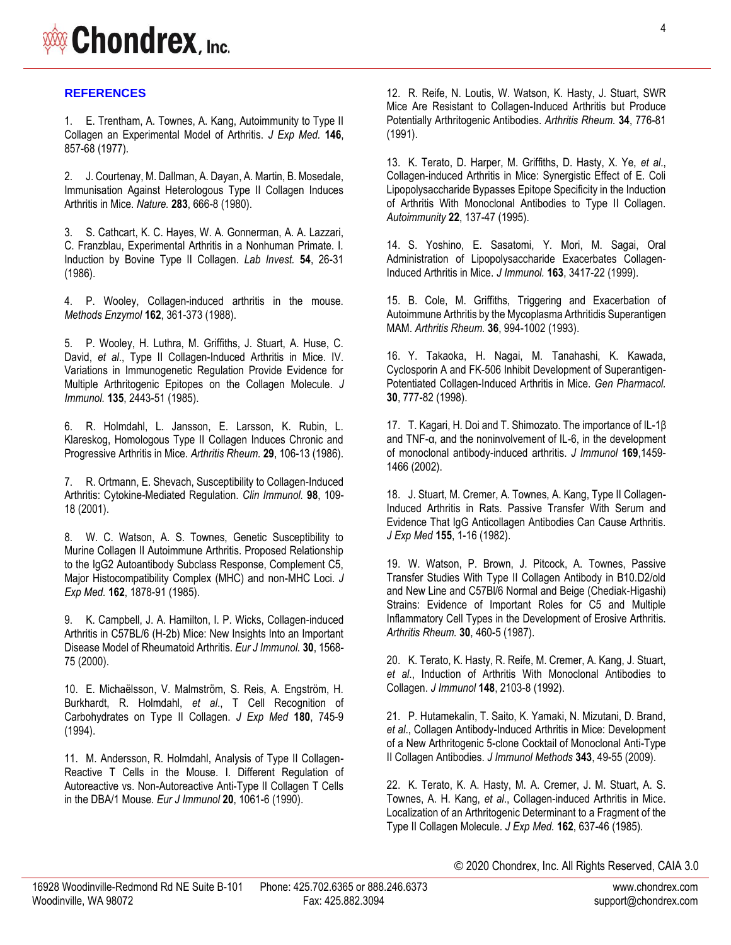# **WAS Chondrex**, Inc.

## **REFERENCES**

1. [E. Trentham, A. Townes, A. Kang, Autoimmunity to Type II](https://www.ncbi.nlm.nih.gov/pubmed/894190)  [Collagen an Experimental Model of Arthritis.](https://www.ncbi.nlm.nih.gov/pubmed/894190) *J Exp Med.* **146**, [857-68 \(1977\).](https://www.ncbi.nlm.nih.gov/pubmed/894190)

2. [J. Courtenay, M. Dallman, A. Dayan, A. Martin, B. Mosedale,](https://www.ncbi.nlm.nih.gov/pubmed/6153460)  [Immunisation Against Heterologous Type II Collagen Induces](https://www.ncbi.nlm.nih.gov/pubmed/6153460)  [Arthritis in Mice.](https://www.ncbi.nlm.nih.gov/pubmed/6153460) *Nature.* **283**, 666-8 (1980).

3. [S. Cathcart, K. C. Hayes, W. A. Gonnerman, A. A. Lazzari,](https://www.ncbi.nlm.nih.gov/pubmed/3941539)  [C. Franzblau, Experimental Arthritis in a Nonhuman Primate. I.](https://www.ncbi.nlm.nih.gov/pubmed/3941539)  [Induction by Bovine Type II Collagen.](https://www.ncbi.nlm.nih.gov/pubmed/3941539) *Lab Invest.* **54**, 26-31 [\(1986\).](https://www.ncbi.nlm.nih.gov/pubmed/3941539)

4. P. Wooley, [Collagen-induced arthritis in the mouse.](https://pubmed.ncbi.nlm.nih.gov/3226317/)  *[Methods Enzymol](https://pubmed.ncbi.nlm.nih.gov/3226317/)* **162**, 361-373 (1988).

5. [P. Wooley, H. Luthra, M. Griffiths, J. Stuart, A. Huse, C.](https://www.ncbi.nlm.nih.gov/pubmed/2411796) David, *et al*[., Type II Collagen-Induced Arthritis in Mice. IV.](https://www.ncbi.nlm.nih.gov/pubmed/2411796)  [Variations in Immunogenetic Regulation Provide Evidence for](https://www.ncbi.nlm.nih.gov/pubmed/2411796)  [Multiple Arthritogenic Epitopes on the Collagen Molecule.](https://www.ncbi.nlm.nih.gov/pubmed/2411796) *J [Immunol.](https://www.ncbi.nlm.nih.gov/pubmed/2411796)* **135**[, 2443-51 \(1985\).](https://www.ncbi.nlm.nih.gov/pubmed/2411796)

6. [R. Holmdahl, L. Jansson, E. Larsson, K. Rubin, L.](https://www.ncbi.nlm.nih.gov/pubmed/3947407)  [Klareskog, Homologous Type II Collagen Induces Chronic and](https://www.ncbi.nlm.nih.gov/pubmed/3947407)  [Progressive Arthritis in Mice.](https://www.ncbi.nlm.nih.gov/pubmed/3947407) *Arthritis Rheum.* **29**, 106-13 (1986).

7. R. Ortmann, E. [Shevach, Susceptibility to Collagen-Induced](https://www.ncbi.nlm.nih.gov/pubmed/11141333)  [Arthritis: Cytokine-Mediated Regulation.](https://www.ncbi.nlm.nih.gov/pubmed/11141333) *Clin Immunol.* **98**, 109- [18 \(2001\).](https://www.ncbi.nlm.nih.gov/pubmed/11141333)

8. [W. C. Watson, A. S. Townes, Genetic Susceptibility to](https://www.ncbi.nlm.nih.gov/pubmed/3934318)  [Murine Collagen II Autoimmune Arthritis. Proposed Relationship](https://www.ncbi.nlm.nih.gov/pubmed/3934318)  [to the IgG2 Autoantibody Subclass Response, Complement C5,](https://www.ncbi.nlm.nih.gov/pubmed/3934318)  [Major Histocompatibility Complex \(MHC\) and non-MHC Loci.](https://www.ncbi.nlm.nih.gov/pubmed/3934318) *J [Exp Med.](https://www.ncbi.nlm.nih.gov/pubmed/3934318)* **162**[, 1878-91 \(1985\).](https://www.ncbi.nlm.nih.gov/pubmed/3934318)

9. [K. Campbell, J. A. Hamilton, I. P. Wicks, Collagen-induced](https://www.ncbi.nlm.nih.gov/pubmed/10898492)  [Arthritis in C57BL/6 \(H-2b\) Mice: New Insights Into an Important](https://www.ncbi.nlm.nih.gov/pubmed/10898492)  [Disease Model of Rheumatoid Arthritis.](https://www.ncbi.nlm.nih.gov/pubmed/10898492) *Eur J Immunol.* **30**, 1568- [75 \(2000\).](https://www.ncbi.nlm.nih.gov/pubmed/10898492)

10. [E. Michaëlsson, V. Malmström, S. Reis, A. Engström, H.](https://www.ncbi.nlm.nih.gov/pubmed/8046350)  Burkhardt, R. Holmdahl, *et al*[., T Cell Recognition of](https://www.ncbi.nlm.nih.gov/pubmed/8046350)  [Carbohydrates on Type II Collagen.](https://www.ncbi.nlm.nih.gov/pubmed/8046350) *J Exp Med* **180**, 745-9 [\(1994\).](https://www.ncbi.nlm.nih.gov/pubmed/8046350)

11. [M. Andersson, R. Holmdahl, Analysis of Type II Collagen-](https://www.ncbi.nlm.nih.gov/pubmed/1694131)[Reactive T Cells in the Mouse. I. Different Regulation of](https://www.ncbi.nlm.nih.gov/pubmed/1694131)  [Autoreactive vs. Non-Autoreactive Anti-Type II Collagen T Cells](https://www.ncbi.nlm.nih.gov/pubmed/1694131)  [in the DBA/1 Mouse.](https://www.ncbi.nlm.nih.gov/pubmed/1694131) *Eur J Immunol* **20**, 1061-6 (1990).

12. [R. Reife, N. Loutis, W. Watson, K.](https://www.ncbi.nlm.nih.gov/pubmed/2053925) Hasty, J. Stuart, SWR [Mice Are Resistant to Collagen-Induced Arthritis but Produce](https://www.ncbi.nlm.nih.gov/pubmed/2053925)  [Potentially Arthritogenic Antibodies.](https://www.ncbi.nlm.nih.gov/pubmed/2053925) *Arthritis Rheum.* **34**, 776-81 [\(1991\).](https://www.ncbi.nlm.nih.gov/pubmed/2053925)

13. [K. Terato, D. Harper, M. Griffiths, D. Hasty, X. Ye,](https://www.ncbi.nlm.nih.gov/pubmed/8734568) *et al*., [Collagen-induced Arthritis in Mice: Synergistic Effect of E. Coli](https://www.ncbi.nlm.nih.gov/pubmed/8734568)  [Lipopolysaccharide Bypasses Epitope Specificity in the Induction](https://www.ncbi.nlm.nih.gov/pubmed/8734568)  [of Arthritis With Monoclonal Antibodies to Type II Collagen.](https://www.ncbi.nlm.nih.gov/pubmed/8734568)  *[Autoimmunity](https://www.ncbi.nlm.nih.gov/pubmed/8734568)* **22**[, 137-47 \(1995\).](https://www.ncbi.nlm.nih.gov/pubmed/8734568)

14. [S. Yoshino, E. Sasatomi, Y. Mori, M. Sagai, Oral](https://www.ncbi.nlm.nih.gov/pubmed/10477613)  [Administration of Lipopolysaccharide Exacerbates Collagen-](https://www.ncbi.nlm.nih.gov/pubmed/10477613)[Induced Arthritis in Mice.](https://www.ncbi.nlm.nih.gov/pubmed/10477613) *J Immunol.* **163**, 3417-22 (1999).

15. [B. Cole, M. Griffiths, Triggering and Exacerbation of](https://www.ncbi.nlm.nih.gov/pubmed/8318046)  [Autoimmune Arthritis by the Mycoplasma Arthritidis Superantigen](https://www.ncbi.nlm.nih.gov/pubmed/8318046)  MAM. *Arthritis Rheum.* **36**[, 994-1002 \(1993\).](https://www.ncbi.nlm.nih.gov/pubmed/8318046)

16. [Y. Takaoka, H. Nagai, M. Tanahashi, K. Kawada,](https://www.ncbi.nlm.nih.gov/pubmed/9559334)  [Cyclosporin A and FK-506 Inhibit Development of Superantigen-](https://www.ncbi.nlm.nih.gov/pubmed/9559334)[Potentiated Collagen-Induced Arthritis in Mice.](https://www.ncbi.nlm.nih.gov/pubmed/9559334) *Gen Pharmacol.* **30**[, 777-82 \(1998\).](https://www.ncbi.nlm.nih.gov/pubmed/9559334)

17. T. Kagari, H. Doi and T. [Shimozato. The importance of IL-](https://pubmed.ncbi.nlm.nih.gov/12133972/)1β and TNF-[α, and the noninvolvement of IL](https://pubmed.ncbi.nlm.nih.gov/12133972/)-6, in the development [of monoclonal antibody-induced arthritis.](https://pubmed.ncbi.nlm.nih.gov/12133972/) *J Immunol* **169**,1459- [1466 \(2002\)](https://pubmed.ncbi.nlm.nih.gov/12133972/).

18. [J. Stuart, M. Cremer, A. Townes, A. Kang, Type II Collagen-](https://www.ncbi.nlm.nih.gov/pubmed/7054355)[Induced Arthritis in Rats. Passive Transfer With Serum and](https://www.ncbi.nlm.nih.gov/pubmed/7054355)  [Evidence That IgG Anticollagen Antibodies Can Cause Arthritis.](https://www.ncbi.nlm.nih.gov/pubmed/7054355)  *[J Exp Med](https://www.ncbi.nlm.nih.gov/pubmed/7054355)* **155**[, 1-16 \(1982\).](https://www.ncbi.nlm.nih.gov/pubmed/7054355)

19. [W. Watson, P. Brown, J. Pitcock, A.](https://www.ncbi.nlm.nih.gov/pubmed/3580014) Townes, Passive [Transfer Studies With Type II Collagen Antibody in B10.D2/old](https://www.ncbi.nlm.nih.gov/pubmed/3580014)  [and New Line and C57Bl/6 Normal and Beige \(Chediak-Higashi\)](https://www.ncbi.nlm.nih.gov/pubmed/3580014)  [Strains: Evidence of Important Roles for C5 and Multiple](https://www.ncbi.nlm.nih.gov/pubmed/3580014)  [Inflammatory Cell Types in the Development of Erosive Arthritis.](https://www.ncbi.nlm.nih.gov/pubmed/3580014)  *[Arthritis Rheum.](https://www.ncbi.nlm.nih.gov/pubmed/3580014)* **30**, 460-5 (1987).

20. [K. Terato, K. Hasty, R. Reife, M. Cremer, A. Kang, J. Stuart,](https://www.ncbi.nlm.nih.gov/pubmed/1545120)  *et al*[., Induction of Arthritis With Monoclonal Antibodies to](https://www.ncbi.nlm.nih.gov/pubmed/1545120)  Collagen. *J Immunol* **148**[, 2103-8 \(1992\).](https://www.ncbi.nlm.nih.gov/pubmed/1545120)

21. [P. Hutamekalin, T. Saito, K. Yamaki, N. Mizutani, D. Brand,](https://www.ncbi.nlm.nih.gov/pubmed/19330909)  *et al*[., Collagen Antibody-Induced Arthritis in Mice: Development](https://www.ncbi.nlm.nih.gov/pubmed/19330909)  [of a New Arthritogenic 5-clone Cocktail of Monoclonal Anti-Type](https://www.ncbi.nlm.nih.gov/pubmed/19330909)  [II Collagen Antibodies.](https://www.ncbi.nlm.nih.gov/pubmed/19330909) *J Immunol Methods* **343**, 49-55 (2009).

22. [K. Terato, K. A. Hasty, M. A. Cremer, J. M. Stuart, A. S.](https://www.ncbi.nlm.nih.gov/pubmed/2410532)  Townes, A. H. Kang, *et al*[., Collagen-induced Arthritis in Mice.](https://www.ncbi.nlm.nih.gov/pubmed/2410532)  [Localization of an Arthritogenic Determinant to a Fragment of the](https://www.ncbi.nlm.nih.gov/pubmed/2410532)  [Type II Collagen Molecule.](https://www.ncbi.nlm.nih.gov/pubmed/2410532) *J Exp Med.* **162**, 637-46 (1985).

© 2020 Chondrex, Inc. All Rights Reserved, CAIA 3.0